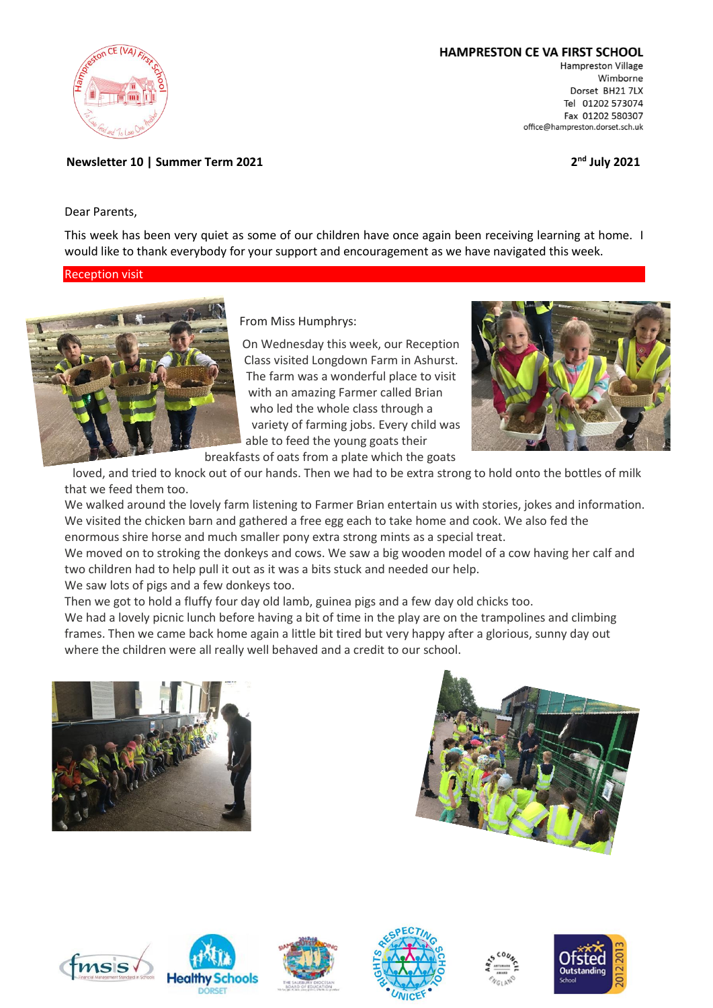

## HAMPRESTON CE VA FIRST SCHOOL

Hampreston Village Wimborne Dorset BH21 7LX Tel 01202 573074 Fax 01202 580307 office@hampreston.dorset.sch.uk

**nd July 2021**

**Newsletter 10 | Summer Term 2021 2**

Dear Parents,

This week has been very quiet as some of our children have once again been receiving learning at home. I would like to thank everybody for your support and encouragement as we have navigated this week.

# Reception visit



From Miss Humphrys:

On Wednesday this week, our Reception Class visited Longdown Farm in Ashurst. The farm was a wonderful place to visit with an amazing Farmer called Brian who led the whole class through a variety of farming jobs. Every child was able to feed the young goats their breakfasts of oats from a plate which the goats



loved, and tried to knock out of our hands. Then we had to be extra strong to hold onto the bottles of milk that we feed them too.

We walked around the lovely farm listening to Farmer Brian entertain us with stories, jokes and information. We visited the chicken barn and gathered a free egg each to take home and cook. We also fed the enormous shire horse and much smaller pony extra strong mints as a special treat.

We moved on to stroking the donkeys and cows. We saw a big wooden model of a cow having her calf and two children had to help pull it out as it was a bits stuck and needed our help.

We saw lots of pigs and a few donkeys too.

Then we got to hold a fluffy four day old lamb, guinea pigs and a few day old chicks too.

We had a lovely picnic lunch before having a bit of time in the play are on the trampolines and climbing frames. Then we came back home again a little bit tired but very happy after a glorious, sunny day out where the children were all really well behaved and a credit to our school.















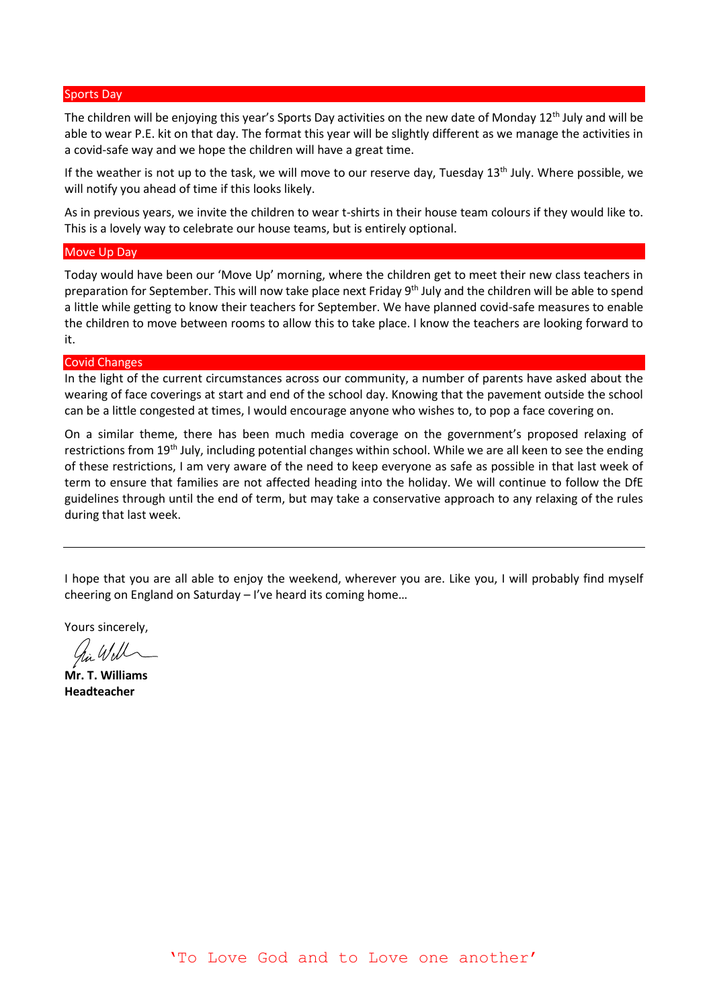#### Sports Day

The children will be enjoying this year's Sports Day activities on the new date of Monday 12<sup>th</sup> July and will be able to wear P.E. kit on that day. The format this year will be slightly different as we manage the activities in a covid-safe way and we hope the children will have a great time.

If the weather is not up to the task, we will move to our reserve day, Tuesday 13<sup>th</sup> July. Where possible, we will notify you ahead of time if this looks likely.

As in previous years, we invite the children to wear t-shirts in their house team colours if they would like to. This is a lovely way to celebrate our house teams, but is entirely optional.

### Move Up Day

Today would have been our 'Move Up' morning, where the children get to meet their new class teachers in preparation for September. This will now take place next Friday 9<sup>th</sup> July and the children will be able to spend a little while getting to know their teachers for September. We have planned covid-safe measures to enable the children to move between rooms to allow this to take place. I know the teachers are looking forward to it.

#### Covid Changes

In the light of the current circumstances across our community, a number of parents have asked about the wearing of face coverings at start and end of the school day. Knowing that the pavement outside the school can be a little congested at times, I would encourage anyone who wishes to, to pop a face covering on.

On a similar theme, there has been much media coverage on the government's proposed relaxing of restrictions from 19th July, including potential changes within school. While we are all keen to see the ending of these restrictions, I am very aware of the need to keep everyone as safe as possible in that last week of term to ensure that families are not affected heading into the holiday. We will continue to follow the DfE guidelines through until the end of term, but may take a conservative approach to any relaxing of the rules during that last week.

I hope that you are all able to enjoy the weekend, wherever you are. Like you, I will probably find myself cheering on England on Saturday – I've heard its coming home…

Yours sincerely,

**Mr. T. Williams Headteacher**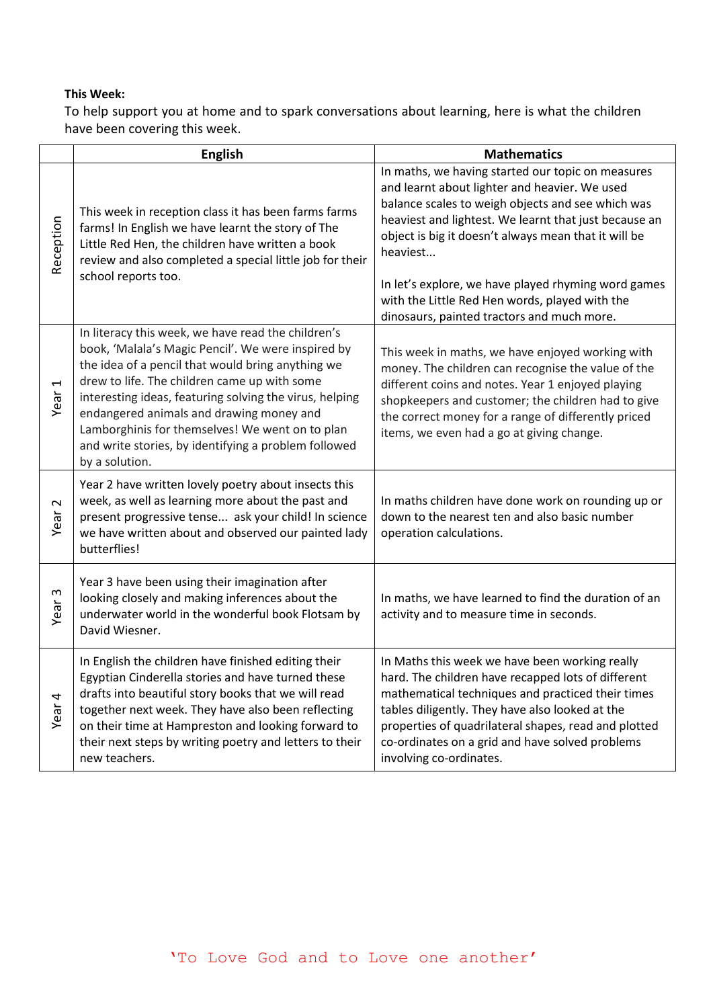# **This Week:**

To help support you at home and to spark conversations about learning, here is what the children have been covering this week.

|                   | <b>English</b>                                                                                                                                                                                                                                                                                                                                                                                                                                    | <b>Mathematics</b>                                                                                                                                                                                                                                                                                                                                                                                                                          |
|-------------------|---------------------------------------------------------------------------------------------------------------------------------------------------------------------------------------------------------------------------------------------------------------------------------------------------------------------------------------------------------------------------------------------------------------------------------------------------|---------------------------------------------------------------------------------------------------------------------------------------------------------------------------------------------------------------------------------------------------------------------------------------------------------------------------------------------------------------------------------------------------------------------------------------------|
| Reception         | This week in reception class it has been farms farms<br>farms! In English we have learnt the story of The<br>Little Red Hen, the children have written a book<br>review and also completed a special little job for their<br>school reports too.                                                                                                                                                                                                  | In maths, we having started our topic on measures<br>and learnt about lighter and heavier. We used<br>balance scales to weigh objects and see which was<br>heaviest and lightest. We learnt that just because an<br>object is big it doesn't always mean that it will be<br>heaviest<br>In let's explore, we have played rhyming word games<br>with the Little Red Hen words, played with the<br>dinosaurs, painted tractors and much more. |
| 1<br>Year         | In literacy this week, we have read the children's<br>book, 'Malala's Magic Pencil'. We were inspired by<br>the idea of a pencil that would bring anything we<br>drew to life. The children came up with some<br>interesting ideas, featuring solving the virus, helping<br>endangered animals and drawing money and<br>Lamborghinis for themselves! We went on to plan<br>and write stories, by identifying a problem followed<br>by a solution. | This week in maths, we have enjoyed working with<br>money. The children can recognise the value of the<br>different coins and notes. Year 1 enjoyed playing<br>shopkeepers and customer; the children had to give<br>the correct money for a range of differently priced<br>items, we even had a go at giving change.                                                                                                                       |
| $\sim$<br>Year    | Year 2 have written lovely poetry about insects this<br>week, as well as learning more about the past and<br>present progressive tense ask your child! In science<br>we have written about and observed our painted lady<br>butterflies!                                                                                                                                                                                                          | In maths children have done work on rounding up or<br>down to the nearest ten and also basic number<br>operation calculations.                                                                                                                                                                                                                                                                                                              |
| $\sim$<br>Year    | Year 3 have been using their imagination after<br>looking closely and making inferences about the<br>underwater world in the wonderful book Flotsam by<br>David Wiesner.                                                                                                                                                                                                                                                                          | In maths, we have learned to find the duration of an<br>activity and to measure time in seconds.                                                                                                                                                                                                                                                                                                                                            |
| Year <sub>4</sub> | In English the children have finished editing their<br>Egyptian Cinderella stories and have turned these<br>drafts into beautiful story books that we will read<br>together next week. They have also been reflecting<br>on their time at Hampreston and looking forward to<br>their next steps by writing poetry and letters to their<br>new teachers.                                                                                           | In Maths this week we have been working really<br>hard. The children have recapped lots of different<br>mathematical techniques and practiced their times<br>tables diligently. They have also looked at the<br>properties of quadrilateral shapes, read and plotted<br>co-ordinates on a grid and have solved problems<br>involving co-ordinates.                                                                                          |